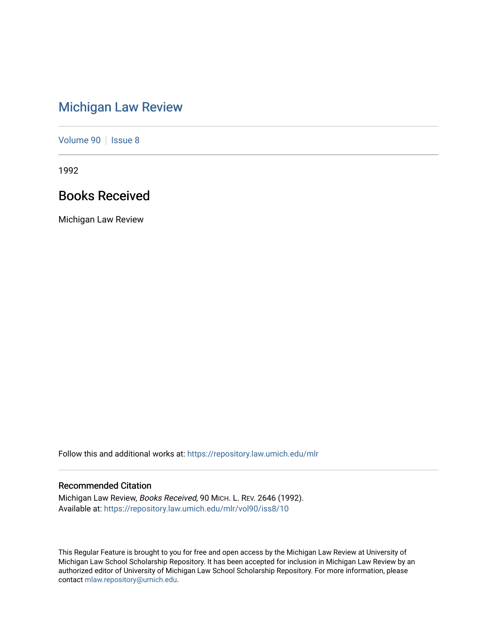# [Michigan Law Review](https://repository.law.umich.edu/mlr)

[Volume 90](https://repository.law.umich.edu/mlr/vol90) | [Issue 8](https://repository.law.umich.edu/mlr/vol90/iss8)

1992

# Books Received

Michigan Law Review

Follow this and additional works at: [https://repository.law.umich.edu/mlr](https://repository.law.umich.edu/mlr?utm_source=repository.law.umich.edu%2Fmlr%2Fvol90%2Fiss8%2F10&utm_medium=PDF&utm_campaign=PDFCoverPages) 

## Recommended Citation

Michigan Law Review, Books Received, 90 MICH. L. REV. 2646 (1992). Available at: [https://repository.law.umich.edu/mlr/vol90/iss8/10](https://repository.law.umich.edu/mlr/vol90/iss8/10?utm_source=repository.law.umich.edu%2Fmlr%2Fvol90%2Fiss8%2F10&utm_medium=PDF&utm_campaign=PDFCoverPages) 

This Regular Feature is brought to you for free and open access by the Michigan Law Review at University of Michigan Law School Scholarship Repository. It has been accepted for inclusion in Michigan Law Review by an authorized editor of University of Michigan Law School Scholarship Repository. For more information, please contact [mlaw.repository@umich.edu](mailto:mlaw.repository@umich.edu).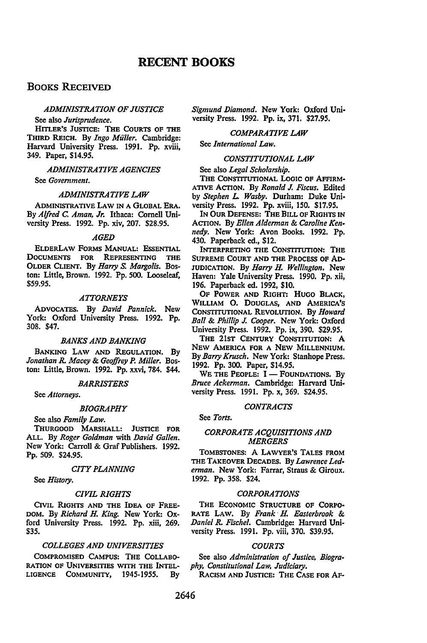## **BOOKS RECEIVED**

### *ADMINISTRATION OF JUSTICE*

See also *Jurisprudence.* 

HITLER'S JUSTICE: THE COURTS OF THE THIRD REICH. By *Ingo Miiller.* Cambridge: Harvard University Press. 1991. Pp. xviii, 349. Paper, \$14.95.

*ADMINISTRATIVE AGENCIES* 

See *Government.* 

## *ADMINISTRATIVE LAW*

ADMINISTRATIVE LAW IN A GLOBAL ERA. By *Alfred C. Aman, Jr.* Ithaca: Cornell University Press. 1992. Pp. xiv, 207. \$28.95.

## *AGED*

ELDERLAW FORMS MANUAL: EssENTIAL DOCUMENTS FOR REPRESENTING THE OLDER CLIENT. By *Harry S. Margolis.* Boston: Little, Brown. 1992. Pp. 500. Looseleaf, \$59.95.

#### *ATTORNEYS*

ADVOCATES. By *David Pannick.* New York: Oxford University Press. 1992. Pp. 308. \$47.

## *BANKS AND BANKING*

BANKING LAW AND REGULATION. By *Jonathan* R. *Macey* & *Geoffrey P. Miller.* Boston: Little, Brown. 1992. Pp. xxvi, 784. \$44.

#### *BARRISTERS*

See *Attorneys.* 

#### *BIOGRAPHY*

See also *Family Law.* 

THURGOOD MARSHALL: JUSTICE FOR ALL. By *Roger Goldman* with *David Gallen.*  New York: Carroll & Graf Publishers. 1992. Pp. 509. \$24.95.

#### *CITY PLANNING*

See *History.* 

#### *CIVIL RIGHTS*

CIVIL RIGHTS AND THE IDEA OF FREE-DOM. By *Richard H. King.* New York: Oxford University Press. 1992. Pp. xiii, 269. \$35.

## *COLLEGES AND UNIVERSITIES*

COMPROMISED CAMPUS: THE CoLLABO-RATION OF UNIVERSITIES WITH THE INTEL-LIGENCE COMMUNITY, 1945-1955. By *Sigmund Diamond.* New York: Oxford University Press. 1992. Pp. ix, 371. \$27.95.

## *COMPARATIVE LAW*

See *International Law.* 

#### *CONSTITUTIONAL LAW*

See also *Legal Scholarship.* 

THE CONSTITUTIONAL LOGIC OF AFFIRM-ATIVE ACTION. By *Ronald* J. *Fiscus.* Edited by *Stephen L. Wasby.* Durham: Duke University Press. 1992. Pp. xviii, 150. \$17.95.

IN OUR DEFENSE: THE BILL OF RIGHTS IN ACTION. By *Ellen Alderman* & *Caroline Kennedy.* New York: Avon Books. 1992. Pp. 430. Paperback ed., \$12.

INTERPRETING THE CONSTITUTION: THE SUPREME COURT AND THE PROCESS OF AD-JUDICATION. By *Harry H. Wellington.* New Haven: Yale University Press. 1990. Pp. xii, 196. Paperback ed. 1992, \$10.

OF POWER AND RIGHT: HUGO BLACK, WILLIAM 0. DOUGLAS, AND AMERICA'S CoNSTITUTIONAL REVOLUTION. By *Howard Ball* & *Phillip* J. *Cooper.* New York: Oxford University Press. 1992. Pp. ix, 390. \$29.95.

THE 21ST CENTURY CONSTITUTION: A NEW AMERICA FOR A NEW MILLENNIUM. By *Barry Krusch.* New York: Stanhope Press. 1992. Pp. 300. Paper, \$14.95.

WE THE PEOPLE:  $I -$  FOUNDATIONS. By *Bruce Ackerman.* Cambridge: Harvard University Press. 1991. Pp. x, 369. \$24.95.

## *CONTRACTS*

See *Torts.* 

## *CORPORATE ACQUISITIONS AND MERGERS*

TOMBSTONES: A LAWYER'S TALES FROM THE TAKEOVER DECADES. By *Lawrence Lederman.* New York: Farrar, Straus & Giroux. 1992. Pp. 358. \$24.

## *CORPORATIONS*

THE EcONOMIC STRUCTURE OF CORPO-RATE LAW. By *Frank· H. Easterbrook* & *Daniel R. Fischel.* Cambridge: Harvard University Press. 1991. Pp. viii, 370. \$39.95.

## *COURTS*

See also *Administration of Justice, Biography, Constitutional Law, Judiciary.* 

RACISM AND JUSTICE: THE CASE FOR AF-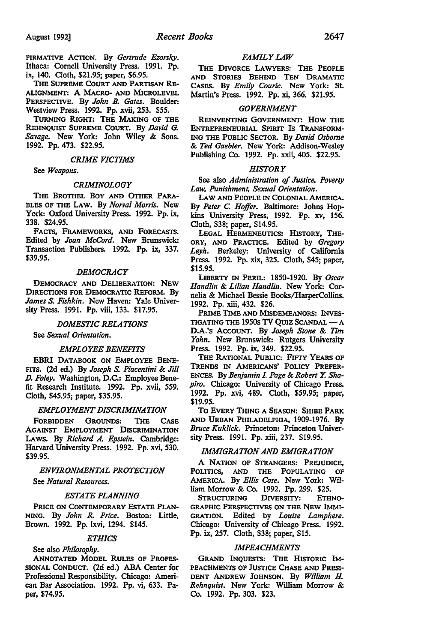FIRMATIVE ACTION. By *Gertrude Ezorsky.*  Ithaca: Cornell University Press. 1991. Pp. ix, 140. Cloth, \$21.95; paper, \$6.95.

THE SUPREME CoURT AND PARTISAN RE-ALIGNMENT: A MACRO- AND MICROLEVEL PERSPECTIVE. By *John B. Gates.* Boulder: Westview Press. 1992. Pp. xvii, 253. \$55.

TURNING RIGHT: THE MAKING OF THE REHNQUIST SUPREME CoURT. By *David G. Savage.* New York: John Wiley & Sons. 1992. Pp. 473. \$22.95.

#### *CRIME VICTIMS*

See *Weapons.* 

## *CRIMINOLOGY*

THE BROTHEL BOY AND OTHER PARA-BLES OF THE LAW. By *Norval Morris.* New York: Oxford University Press. 1992. Pp. ix, 338. \$24.95.

FACTS, FRAMEWORKS, AND FORECASTS. Edited by *Joan McCord.* New Brunswick: Transaction Publishers. 1992. Pp. ix, 337. \$39.95.

## *DEMOCRACY*

DEMOCRACY AND DELIBERATION: NEW DIRECTIONS FOR DEMOCRATIC REFORM. By *James* S. *Fishkin.* New Haven: Yale University Press. 1991. Pp. viii, 133. \$17.95.

#### *DOMESTIC RELATIONS*

See *Sexual Orientation.* 

#### *EMPLOYEE BENEFITS*

EBRI DATABOOK ON EMPLOYEE BENE-FITS. (2d ed.) By *Joseph* S. *Piacentini* & *Jill D. Foley.* Washington, D.C.: Employee Benefit Research Institute. 1992. Pp. xvii, 559. Cloth, \$45.95; paper, \$35.95.

### *EMPLOYMENT DISCRIMINATION*

FORBIDDEN GROUNDS: THE CASE AGAINST EMPLOYMENT DISCRIMINATION LAWS. By *Richard A. Epstein.* Cambridge: Harvard University Press. 1992. Pp. xvi, 530. \$39.95.

## *ENVIRONMENTAL PROTECTION*  See *Natural Resources.*

## *ESTATE PLANNING*

PRICE ON CoNTEMPORARY ESTATE PLAN-NING. By *John R. Price.* Boston: Little, Brown. 1992. Pp. lxvi, 1294. \$145.

#### *ETHICS*

See also *Philosophy.* 

ANNOTATED MODEL RULES OF PROFES-SIONAL CoNDUCT. (2d ed.) ABA Center for Professional Responsibility. Chicago: American Bar Association. 1992. Pp. vi, 633. Paper, \$74.95.

## *FAMILY LAW*

THE DIVORCE LAWYERS: THE PEOPLE AND STORIES BEHIND TEN DRAMATIC CASES. By *Emily Courie.* New York: St. Martin's Press. 1992. Pp. xi, 366. \$21.95.

## *GOVERNMENT*

REINVENTING GOVERNMENT: How THE ENTREPRENEURIAL SPIRIT Is TRANSFORM-ING THE PUBLIC SECTOR. By *David Osborne*  & *Ted Gaebler.* New York: Addison-Wesley Publishing Co. 1992. Pp. xxii, 405. \$22.95.

## *HISTORY*

See also *Administration of Justice, Poverty Law, Punishment, Sexual Orientation.* 

LAW AND PEOPLE IN COLONIAL AMERICA. By *Peter C. Hoffer*. Baltimore: Johns Hopkins University Press, 1992. Pp. xv, 156. Cloth, \$38; paper, \$14.95.

LEGAL HERMENEUTICS: HISTORY, THE-ORY, AND PRACTICE. Edited by *Gregory Leyh.* Berkeley: University of California Press. 1992. Pp. xix, 325. Cloth, \$45; paper, \$15.95.

LIBERTY IN PERIL: 1850-1920. By *Oscar Handlin* & *Lilian Handlin.* New York: Cornelia & Michael Bessie Books/HarperCollins. 1992. Pp. xiii, 432. \$26.

PRIME TIME AND MISDEMEANORS: INVES-TIGATING THE 1950s TV QUIZ SCANDAL - A D.A.'s ACCOUNT. By *Joseph Stone* & *Tim Yohn.* New Brunswick: Rutgers University Press. 1992. Pp. ix, 349. \$22.95.

THE RATIONAL PUBLIC: FIFTY YEARS OF TRENDS IN AMERICANS' POLICY PREFER-ENCES. By *Benjamin L Page* & *Robert Y. Shapiro.* Chicago: University of Chicago Press. 1992. Pp. xvi, 489. Cloth, \$59.95; paper, \$19.95.

To EVERY THING A SEASON: SHIBE PARK AND URBAN PHILADELPHIA, 1909-1976. By *Bruce Kuklick.* Princeton: Princeton University Press. 1991. Pp. xiii, 237. \$19.95.

## *IMMIGRATION AND EMIGRATION*

A NATION OF STRANGERS: PREJUDICE, POLITICS, AND THE POPULATING OF AMERICA. By *Ellis Cose.* New York: William Morrow & Co. 1992. Pp. 299. \$25.

STRUCTURING DIVERSITY: ETHNO-GRAPHIC PERSPECTIVES ON THE NEW IMMI-GRATION. Edited by *Louise Lamphere.*  Chicago: University of Chicago Press. 1992. Pp. ix, 257. Cloth, \$38; paper, \$15.

## *IMPEACHMENTS*

GRAND INQUESTS: THE HISTORIC IM-PEACHMENTS OF JUSTICE CHASE AND PRESI-DENT ANDREW JOHNSON. By *William H. Rehnquist.* New York: William Morrow & Co. 1992. Pp. 303. \$23.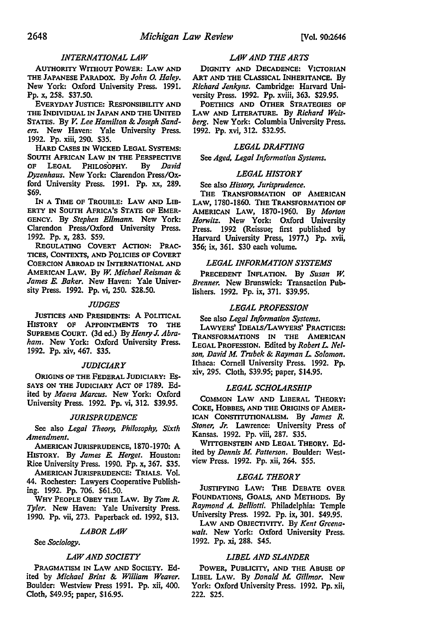## *INTERNATIONAL LAW*

AUTHORITY WITHOUT POWER: LAW AND THE JAPANESE PARADOX. By *John 0. Haley.*  New York: Oxford University Press. 1991. Pp. x, 2S8. \$37.SO.

EVERYDAY JUSTICE: RESPONSIBILITY AND THE INDIVIDUAL IN JAPAN AND THE UNITED STATES. By *V. Lee Hamilton* & *Joseph Sanders.* New Haven: Yale University Press. 1992. Pp. xiii, 290. \$3S.

HARD CASES IN WICKED LEGAL SYSTEMS: SOUTH AFRICAN LAW IN THE PERSPECTIVE<br>OF LEGAL PHILOSOPHY. By David OF LEGAL PHILOSOPHY. *Dyzenhaus.* New York: Clarendon Press/Oxford University Press. 1991. Pp. xx, 289. \$69.

IN A TIME OF TROUBLE: LAW AND LIB-ERTY IN SOUTH AFRICA'S STATE OF EMER-GENCY. By *Stephen Ellmann.* New York: Clarendon Press/Oxford University Press. 1992. Pp. x, 283. \$S9.

REGULATING CoVERT ACTION: PRAC-TICES, CoNTEXTS, AND POLICIES OF CoVERT CoERCION ABROAD IN INTERNATIONAL AND AMERICAN LAW. By *w. Michael Reisman* & *James* E. *Baker.* New Haven: Yale University Press. 1992. Pp. vi, 2SO. \$28.SO.

## *JUDGES*

JUSTICES AND PRESIDENTS: A POLITICAL HISTORY OF APPOINTMENTS TO THE SUPREME CoURT. (3d ed.) By *Henry J. Abraham.* New York: Oxford University Press. 1992. Pp. xiv, 467. \$3S.

## *JUDICIARY*

ORIGINS OF THE FEDERAL JUDICIARY: Es-SAYS ON THE JUDICIARY ACT OF 1789. Edited by *Maeva Marcus.* New York: Oxford University Press. 1992. Pp. vi, 312. \$39.9S.

#### *JURISPRUDENCE*

See also *Legal Theory, Philosophy, Sixth Amendment.* 

AMERICAN JURISPRUDENCE, 1870-1970: A HISTORY. By *James E. Herget.* Houston: Rice University Press. 1990. Pp. x, 367. \$3S.

AMERICAN JURISPRUDENCE: TRIALS. Vol. 44. Rochester: Lawyers Cooperative Publishing. 1992. Pp. 706. \$61.SO.

WHY PEOPLE OBEY THE LAW. By *Tom R. Tyler.* New Haven: Yale University Press. 1990. Pp. vii, 273. Paperback ed. 1992, \$13.

## *LABOR LAW*

See *Sociology.* 

#### *LAW AND SOCIETY*

PRAGMATISM IN LAW AND SOCIETY. Edited by *Michael Brint* & *William Weaver.*  Boulder: Westview Press 1991. Pp. xii, 400. Cloth, \$49.9S; paper, \$16.9S.

## *LAW AND THE ARTS*

DIGNITY AND DECADENCE: VICTORIAN ART AND THE CLASSICAL INHERITANCE. By *Richard Jenkyns.* Cambridge: Harvard University Press. 1992. Pp. xviii, 363. \$29.9S.

POETHICS AND OTHER STRATEGIES OF LAW AND LITERATURE. By *Richard Weisberg.* New York: Columbia University Press. 1992. Pp. xvi, 312. \$32.9S.

## *LEGAL DRAFTING*

See *Aged, Legal Information Systems.* 

### *LEGAL HISTORY*

## See also *History, Jurisprudence.*

THE TRANSFORMATION OF AMERICAN LAW, 1780-1860. THE TRANSFORMATION OF AMERICAN LAW, 1870-1960. By *Morton Honvitz.* New York: Oxford University Press. 1992 (Reissue; first published by Harvard University Press, 1977.) Pp. xvii, 3S6; ix, 361. \$30 each volume.

#### *LEGAL INFORMATION SYSTEMS*

PRECEDENT INFLATION. By *Susan w. Brenner.* New Brunswick: Transaction Publishers. 1992. Pp. ix, 371. \$39.9S.

## *LEGAL PROFESSION*

#### See also *Legal Information Systems.*

LA WYERS' IDEALS/LA WYERS' PRACTICES: TRANSFORMATIONS IN THE AMERICAN LEGAL PROFESSION. Edited by *Robert L. Nelson, David* M. *Trubek* & *Rayman L. Solomon.*  Ithaca: Cornell University Press. 1992. Pp. xiv, 29S. Cloth, \$39.9S; paper, \$14.9S.

#### *LEGAL SCHOLARSHIP*

COMMON LAW AND LIBERAL THEORY: COKE, HOBBES, AND THE ORIGINS OF AMER· !CAN CONSTITUTIONALISM. By *James R. Stoner, Jr.* Lawrence: University Press of Kansas. 1992. Pp. viii, 287. \$3S.

WITTGENSTEIN AND LEGAL THEORY. Edited by *Dennis* M. *Patterson.* Boulder: Westview Press. 1992. Pp. xii, 264. \$SS.

## *LEGAL THEORY*

JUSTIFYING LAW: THE DEBATE OVER FOUNDATIONS, GOALS, AND METHODS. By *Raymond A. Belliotti.* Philadelphia: Temple University Press. 1992. Pp. ix, 301. \$49.9S.

LAW AND OBJECTIVITY. By *Kent Greenawalt.* New York: Oxford University Press. 1992. Pp. xi, 288. \$4S.

#### *LIBEL AND SLANDER*

POWER, PUBLICITY, AND THE ABUSE OF LIBEL LAW. By *Donald* M. *Gillmor.* New York: Oxford University Press. 1992. Pp. xii, 222. \$2S.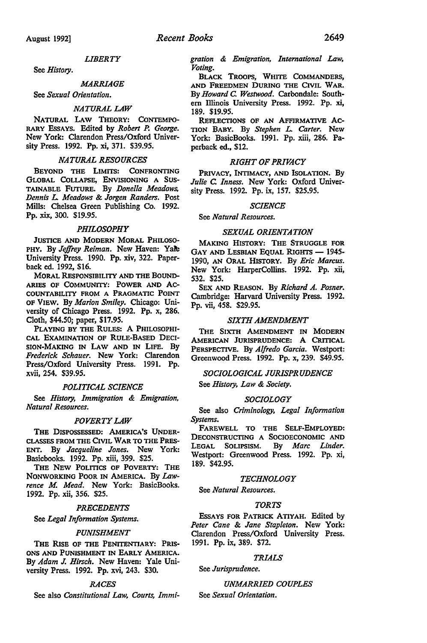## *LIBERTY*

See *History.* 

#### *MARRIAGE*

See *Sexual Orientation.* 

#### *NATURAL LAW*

NATURAL LAW THEORY: CoNTEMPO-RARY EssAYS. Edited by *Robert* P. *George.*  New York: Clarendon Press/Oxford University Press. 1992. Pp. xi, 371. \$39.95.

## *NATURAL RESOURCES*

BEYOND THE LIMITS: CONFRONTING GLOBAL CoLLAPSE, ENVISIONING A SUS-TAINABLE FUTURE. By *Donella Meadows, Dennis L. Meadows* & *Jorgen Randers.* Post Mills: Chelsea Green Publishing Co. 1992. Pp. xix, 300. \$19.95.

#### *PHILOSOPHY*

JUSTICE AND MODERN MORAL PHILOSO-PHY. By *Jeffrey Reiman.* New Haven: Yak University Press. 1990. Pp. xiv, 322. Paperback ed. 1992, \$16.

MORAL REsPONSIBILITY AND THE BOUND-ARIES OF CoMMUNITY: POWER AND AC-COUNTABILITY FROM A PRAGMATIC POINT OF VIEW. By *Marion Smiley.* Chicago: University of Chicago Press. 1992. Pp. x, 286. Cloth, \$44.50; paper, \$17.95.

PLAYING BY THE RULES: A PHILOSOPHI-CAL EXAMINATION OF RULE-BASED DECI-SION-MAKING IN LAW AND IN LIFE. By *Frederick Schauer.* New York: Clarendon Press/Oxford University Press. 1991. Pp. xvii, 254. \$39.95.

## *POLITICAL SCIENCE*

See *History, Immigration* & *Emigration, Natural Resources.* 

## *POVERTY LAW*

THE DISPOSSESSED: AMERICA'S UNDER-CLASSES FROM THE CIVIL WAR TO THE PRES-ENT. By *Jacqueline Jones.* New York: Basicbooks. 1992. Pp. xiii, 399. \$25.

THE NEW POLITICS OF POVERTY: THE NONWORKING POOR IN AMERICA. By *Lawrence M Mead.* New York: BasicBooks. 1992. Pp. xii, 356. \$25.

#### *PRECEDENTS*

See *Legal Information Systems.* 

#### *PUNISHMENT*

THE RISE OF THE PENITENTIARY: PRIS-ONS AND PUNISHMENT IN EARLY AMERICA. By *Adam J. Hirsch.* New Haven: Yale University Press. 1992. Pp. xvi, 243. \$30.

## *RACES*

See also *Constitutional Law, Courts, Immi-*

*gration* & *Emigration, International Law, Voting.* 

BLACK TROOPS, WHITE CoMMANDERS, AND FREEDMEN DURING THE CIVIL WAR. By *Howard* C: *Westwood.* Carbondale: Southern Illinois University Press. 1992. Pp. xi, 189. \$19.95.

REFLECTIONS OF AN AFFIRMATIVE AC-TION BABY. By *Stephen L. Carter.* New York: BasicBooks. 1991. Pp. xiii, 286. Paperback ed., \$12.

## *RIGHT OF PRIVACY*

PRIVACY, INTIMACY, AND ISOLATION. By *Julie* C: *Inness.* New York: Oxford University Press. 1992. Pp. ix, 157. \$25.95.

#### *SCIENCE*

See *Natural Resources.* 

## *SEXUAL ORIENTATION*

MAKING HISTORY: THE STRUGGLE FOR GAY AND LESBIAN EQUAL RIGHTS - 1945-1990, AN ORAL HISTORY. By *Eric Marcus.*  New York: HarperCollins. 1992. Pp. xii, 532. \$25.

SEX AND REASON. By *Richard A. Posner.*  Cambridge: Harvard University Press. 1992. Pp. vii, 458. \$29.95.

## *SIXTH AMENDMENT*

THE SIXTH AMENDMENT IN MODERN AMERICAN JURISPRUDENCE: A CRITICAL PERSPECTIVE. By *Alfredo Garcia.* Westport: Greenwood Press. 1992. Pp. x, 239. \$49.95.

## *SOCIOLOGICAL JURISPRUDENCE*

See *History, Law* & *Society.* 

#### *SOCIOLOGY*

See also *Criminology, Legal Information Systems.* 

FAREWELL TO THE SELF-EMPLOYED: DECONSTRUCTING A SOCIOECONOMIC AND LEGAL SOLIPSISM. By *Marc Linder.*  Westport: Greenwood Press. 1992. Pp. xi, 189. \$42.95.

#### *TECHNOLOGY*

See *Natural Resources.* 

## *TORTS*

EssAYS FOR PATRICK ATIYAH. Edited by *Peter Cane* & *Jane Stapleton.* New York: Clarendon Press/Oxford University Press. 1991. Pp. ix, 389. \$72.

#### *TRIALS*

See *Jurisprudence.* 

## *UNMARRIED COUPLES*

See *Sexual Orientation.*